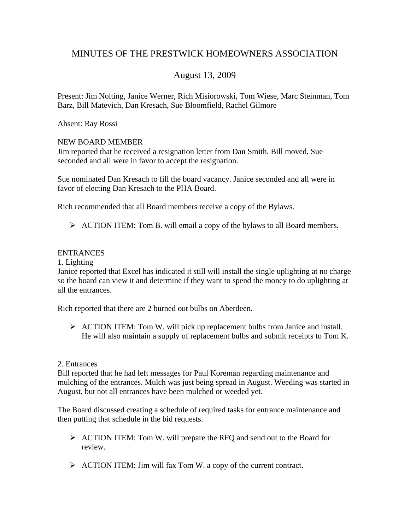# MINUTES OF THE PRESTWICK HOMEOWNERS ASSOCIATION

## August 13, 2009

Present: Jim Nolting, Janice Werner, Rich Misiorowski, Tom Wiese, Marc Steinman, Tom Barz, Bill Matevich, Dan Kresach, Sue Bloomfield, Rachel Gilmore

Absent: Ray Rossi

## NEW BOARD MEMBER

Jim reported that he received a resignation letter from Dan Smith. Bill moved, Sue seconded and all were in favor to accept the resignation.

Sue nominated Dan Kresach to fill the board vacancy. Janice seconded and all were in favor of electing Dan Kresach to the PHA Board.

Rich recommended that all Board members receive a copy of the Bylaws.

¾ ACTION ITEM: Tom B. will email a copy of the bylaws to all Board members.

## ENTRANCES

1. Lighting

Janice reported that Excel has indicated it still will install the single uplighting at no charge so the board can view it and determine if they want to spend the money to do uplighting at all the entrances.

Rich reported that there are 2 burned out bulbs on Aberdeen.

¾ ACTION ITEM: Tom W. will pick up replacement bulbs from Janice and install. He will also maintain a supply of replacement bulbs and submit receipts to Tom K.

## 2. Entrances

Bill reported that he had left messages for Paul Koreman regarding maintenance and mulching of the entrances. Mulch was just being spread in August. Weeding was started in August, but not all entrances have been mulched or weeded yet.

The Board discussed creating a schedule of required tasks for entrance maintenance and then putting that schedule in the bid requests.

- ¾ ACTION ITEM: Tom W. will prepare the RFQ and send out to the Board for review.
- $\triangleright$  ACTION ITEM: Jim will fax Tom W. a copy of the current contract.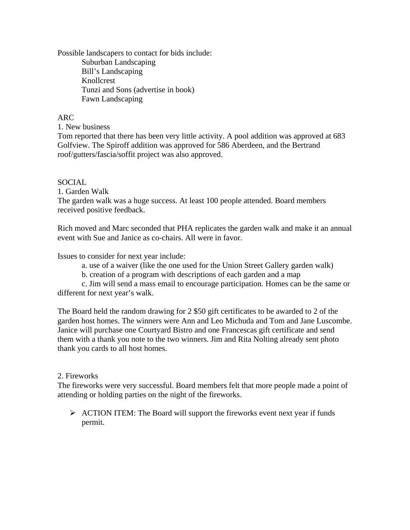Possible landscapers to contact for bids include: Suburban Landscaping Bill's Landscaping Knollcrest Tunzi and Sons (advertise in book) Fawn Landscaping

## ARC

1. New business

Tom reported that there has been very little activity. A pool addition was approved at 683 Golfview. The Spiroff addition was approved for 586 Aberdeen, and the Bertrand roof/gutters/fascia/soffit project was also approved.

## SOCIAL

1. Garden Walk

The garden walk was a huge success. At least 100 people attended. Board members received positive feedback.

Rich moved and Marc seconded that PHA replicates the garden walk and make it an annual event with Sue and Janice as co-chairs. All were in favor.

Issues to consider for next year include:

- a. use of a waiver (like the one used for the Union Street Gallery garden walk)
- b. creation of a program with descriptions of each garden and a map

 c. Jim will send a mass email to encourage participation. Homes can be the same or different for next year's walk.

The Board held the random drawing for 2 \$50 gift certificates to be awarded to 2 of the garden host homes. The winners were Ann and Leo Michuda and Tom and Jane Luscombe. Janice will purchase one Courtyard Bistro and one Francescas gift certificate and send them with a thank you note to the two winners. Jim and Rita Nolting already sent photo thank you cards to all host homes.

## 2. Fireworks

The fireworks were very successful. Board members felt that more people made a point of attending or holding parties on the night of the fireworks.

 $\triangleright$  ACTION ITEM: The Board will support the fireworks event next year if funds permit.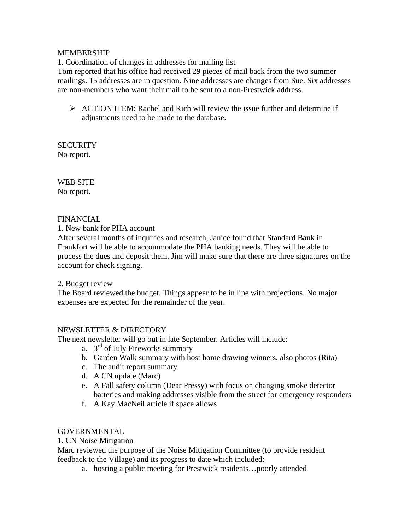## MEMBERSHIP

1. Coordination of changes in addresses for mailing list

Tom reported that his office had received 29 pieces of mail back from the two summer mailings. 15 addresses are in question. Nine addresses are changes from Sue. Six addresses are non-members who want their mail to be sent to a non-Prestwick address.

 $\triangleright$  ACTION ITEM: Rachel and Rich will review the issue further and determine if adjustments need to be made to the database.

**SECURITY** No report.

WEB SITE No report.

## FINANCIAL

1. New bank for PHA account

After several months of inquiries and research, Janice found that Standard Bank in Frankfort will be able to accommodate the PHA banking needs. They will be able to process the dues and deposit them. Jim will make sure that there are three signatures on the account for check signing.

2. Budget review

The Board reviewed the budget. Things appear to be in line with projections. No major expenses are expected for the remainder of the year.

## NEWSLETTER & DIRECTORY

The next newsletter will go out in late September. Articles will include:

- a.  $3<sup>rd</sup>$  of July Fireworks summary
- b. Garden Walk summary with host home drawing winners, also photos (Rita)
- c. The audit report summary
- d. A CN update (Marc)
- e. A Fall safety column (Dear Pressy) with focus on changing smoke detector batteries and making addresses visible from the street for emergency responders
- f. A Kay MacNeil article if space allows

## GOVERNMENTAL

1. CN Noise Mitigation

Marc reviewed the purpose of the Noise Mitigation Committee (to provide resident feedback to the Village) and its progress to date which included:

a. hosting a public meeting for Prestwick residents…poorly attended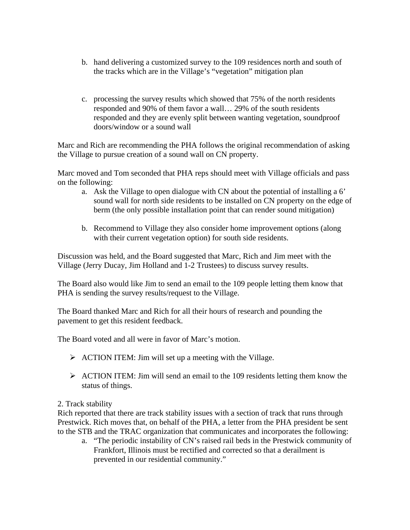- b. hand delivering a customized survey to the 109 residences north and south of the tracks which are in the Village's "vegetation" mitigation plan
- c. processing the survey results which showed that 75% of the north residents responded and 90% of them favor a wall… 29% of the south residents responded and they are evenly split between wanting vegetation, soundproof doors/window or a sound wall

Marc and Rich are recommending the PHA follows the original recommendation of asking the Village to pursue creation of a sound wall on CN property.

Marc moved and Tom seconded that PHA reps should meet with Village officials and pass on the following:

- a. Ask the Village to open dialogue with CN about the potential of installing a 6' sound wall for north side residents to be installed on CN property on the edge of berm (the only possible installation point that can render sound mitigation)
- b. Recommend to Village they also consider home improvement options (along with their current vegetation option) for south side residents.

Discussion was held, and the Board suggested that Marc, Rich and Jim meet with the Village (Jerry Ducay, Jim Holland and 1-2 Trustees) to discuss survey results.

The Board also would like Jim to send an email to the 109 people letting them know that PHA is sending the survey results/request to the Village.

The Board thanked Marc and Rich for all their hours of research and pounding the pavement to get this resident feedback.

The Board voted and all were in favor of Marc's motion.

- $\triangleright$  ACTION ITEM: Jim will set up a meeting with the Village.
- $\triangleright$  ACTION ITEM: Jim will send an email to the 109 residents letting them know the status of things.

## 2. Track stability

Rich reported that there are track stability issues with a section of track that runs through Prestwick. Rich moves that, on behalf of the PHA, a letter from the PHA president be sent to the STB and the TRAC organization that communicates and incorporates the following:

a. "The periodic instability of CN's raised rail beds in the Prestwick community of Frankfort, Illinois must be rectified and corrected so that a derailment is prevented in our residential community."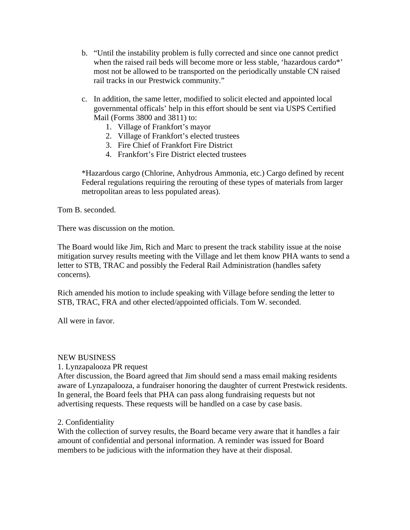- b. "Until the instability problem is fully corrected and since one cannot predict when the raised rail beds will become more or less stable, 'hazardous cardo\*' most not be allowed to be transported on the periodically unstable CN raised rail tracks in our Prestwick community."
- c. In addition, the same letter, modified to solicit elected and appointed local governmental officals' help in this effort should be sent via USPS Certified Mail (Forms 3800 and 3811) to:
	- 1. Village of Frankfort's mayor
	- 2. Village of Frankfort's elected trustees
	- 3. Fire Chief of Frankfort Fire District
	- 4. Frankfort's Fire District elected trustees

\*Hazardous cargo (Chlorine, Anhydrous Ammonia, etc.) Cargo defined by recent Federal regulations requiring the rerouting of these types of materials from larger metropolitan areas to less populated areas).

Tom B. seconded.

There was discussion on the motion.

The Board would like Jim, Rich and Marc to present the track stability issue at the noise mitigation survey results meeting with the Village and let them know PHA wants to send a letter to STB, TRAC and possibly the Federal Rail Administration (handles safety concerns).

Rich amended his motion to include speaking with Village before sending the letter to STB, TRAC, FRA and other elected/appointed officials. Tom W. seconded.

All were in favor.

#### NEW BUSINESS

1. Lynzapalooza PR request

After discussion, the Board agreed that Jim should send a mass email making residents aware of Lynzapalooza, a fundraiser honoring the daughter of current Prestwick residents. In general, the Board feels that PHA can pass along fundraising requests but not advertising requests. These requests will be handled on a case by case basis.

## 2. Confidentiality

With the collection of survey results, the Board became very aware that it handles a fair amount of confidential and personal information. A reminder was issued for Board members to be judicious with the information they have at their disposal.